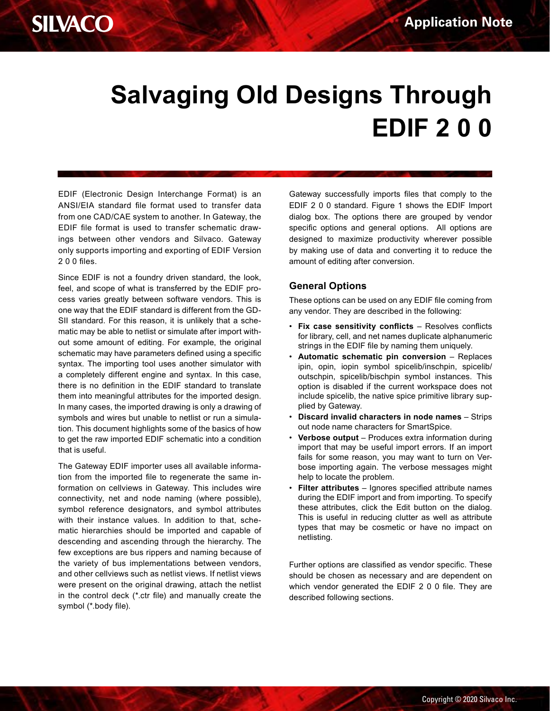

# **Salvaging Old Designs Through EDIF 2 0 0**

EDIF (Electronic Design Interchange Format) is an ANSI/EIA standard file format used to transfer data from one CAD/CAE system to another. In Gateway, the EDIF file format is used to transfer schematic drawings between other vendors and Silvaco. Gateway only supports importing and exporting of EDIF Version 2 0 0 files.

Since EDIF is not a foundry driven standard, the look, feel, and scope of what is transferred by the EDIF process varies greatly between software vendors. This is one way that the EDIF standard is different from the GD-SII standard. For this reason, it is unlikely that a schematic may be able to netlist or simulate after import without some amount of editing. For example, the original schematic may have parameters defined using a specific syntax. The importing tool uses another simulator with a completely different engine and syntax. In this case, there is no definition in the EDIF standard to translate them into meaningful attributes for the imported design. In many cases, the imported drawing is only a drawing of symbols and wires but unable to netlist or run a simulation. This document highlights some of the basics of how to get the raw imported EDIF schematic into a condition that is useful.

The Gateway EDIF importer uses all available information from the imported file to regenerate the same information on cellviews in Gateway. This includes wire connectivity, net and node naming (where possible), symbol reference designators, and symbol attributes with their instance values. In addition to that, schematic hierarchies should be imported and capable of descending and ascending through the hierarchy. The few exceptions are bus rippers and naming because of the variety of bus implementations between vendors, and other cellviews such as netlist views. If netlist views were present on the original drawing, attach the netlist in the control deck (\*.ctr file) and manually create the symbol (\*.body file).

Gateway successfully imports files that comply to the EDIF 2 0 0 standard. Figure 1 shows the EDIF Import dialog box. The options there are grouped by vendor specific options and general options. All options are designed to maximize productivity wherever possible by making use of data and converting it to reduce the amount of editing after conversion.

### **General Options**

These options can be used on any EDIF file coming from any vendor. They are described in the following:

- **Fix case sensitivity conflicts** Resolves conflicts for library, cell, and net names duplicate alphanumeric strings in the EDIF file by naming them uniquely.
- **Automatic schematic pin conversion**  Replaces ipin, opin, iopin symbol spicelib/inschpin, spicelib/ outschpin, spicelib/bischpin symbol instances. This option is disabled if the current workspace does not include spicelib, the native spice primitive library supplied by Gateway.
- **Discard invalid characters in node names** Strips out node name characters for SmartSpice.
- **Verbose output** Produces extra information during import that may be useful import errors. If an import fails for some reason, you may want to turn on Verbose importing again. The verbose messages might help to locate the problem.
- **Filter attributes** Ignores specified attribute names during the EDIF import and from importing. To specify these attributes, click the Edit button on the dialog. This is useful in reducing clutter as well as attribute types that may be cosmetic or have no impact on netlisting.

Further options are classified as vendor specific. These should be chosen as necessary and are dependent on which vendor generated the EDIF 2 0 0 file. They are described following sections.